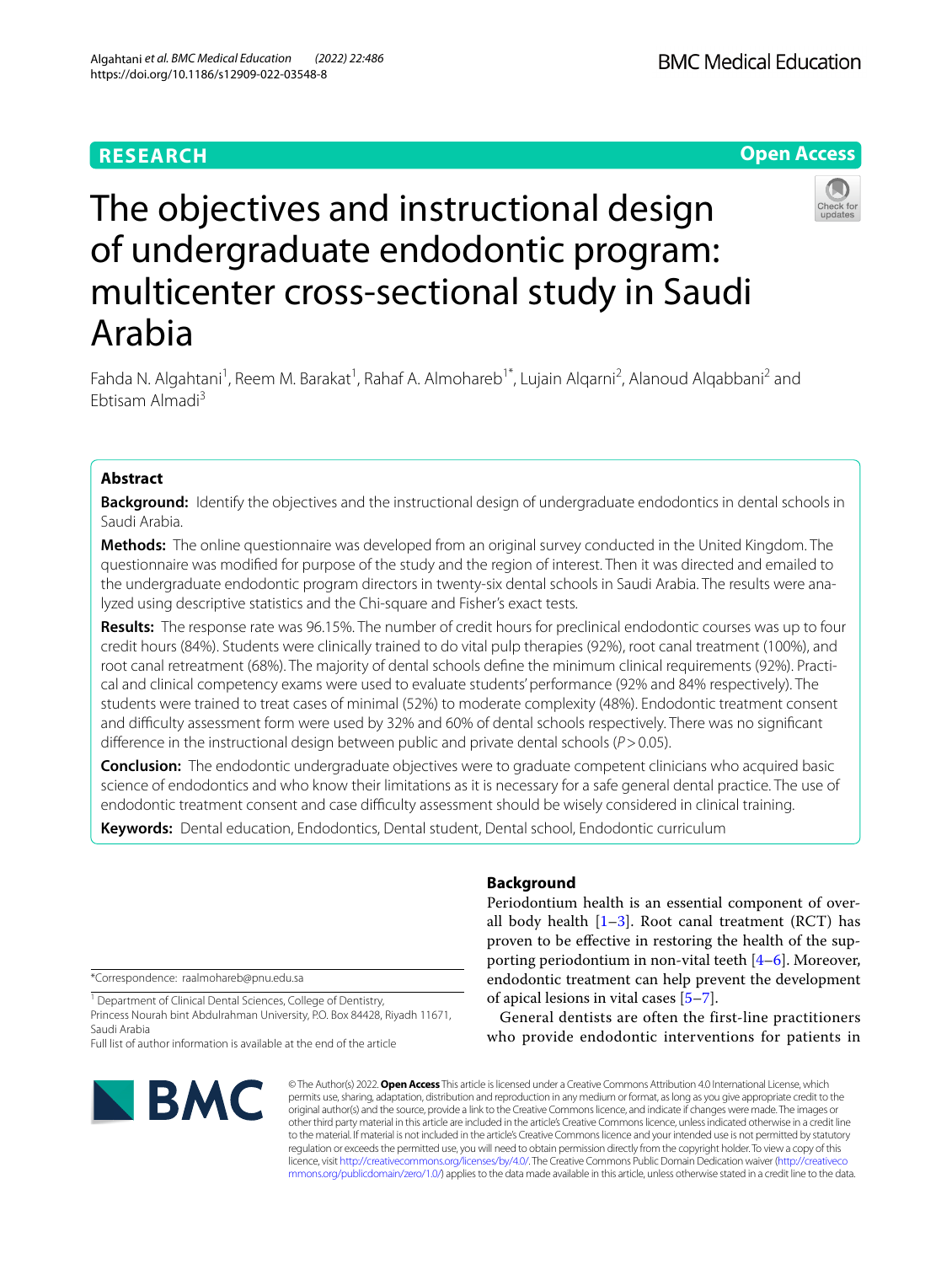# **RESEARCH**

**BMC Medical Education** 

**Open Access**

# The objectives and instructional design of undergraduate endodontic program: multicenter cross-sectional study in Saudi Arabia

Fahda N. Algahtani<sup>1</sup>, Reem M. Barakat<sup>1</sup>, Rahaf A. Almohareb<sup>1\*</sup>, Lujain Alqarni<sup>2</sup>, Alanoud Alqabbani<sup>2</sup> and Ebtisam Almadi3

# **Abstract**

**Background:** Identify the objectives and the instructional design of undergraduate endodontics in dental schools in Saudi Arabia.

**Methods:** The online questionnaire was developed from an original survey conducted in the United Kingdom. The questionnaire was modifed for purpose of the study and the region of interest. Then it was directed and emailed to the undergraduate endodontic program directors in twenty-six dental schools in Saudi Arabia. The results were analyzed using descriptive statistics and the Chi-square and Fisher's exact tests.

**Results:** The response rate was 96.15%. The number of credit hours for preclinical endodontic courses was up to four credit hours (84%). Students were clinically trained to do vital pulp therapies (92%), root canal treatment (100%), and root canal retreatment (68%). The majority of dental schools defne the minimum clinical requirements (92%). Practical and clinical competency exams were used to evaluate students' performance (92% and 84% respectively). The students were trained to treat cases of minimal (52%) to moderate complexity (48%). Endodontic treatment consent and difculty assessment form were used by 32% and 60% of dental schools respectively. There was no signifcant diference in the instructional design between public and private dental schools (*P*>0.05).

**Conclusion:** The endodontic undergraduate objectives were to graduate competent clinicians who acquired basic science of endodontics and who know their limitations as it is necessary for a safe general dental practice. The use of endodontic treatment consent and case difficulty assessment should be wisely considered in clinical training.

**Keywords:** Dental education, Endodontics, Dental student, Dental school, Endodontic curriculum

\*Correspondence: raalmohareb@pnu.edu.sa

<sup>1</sup> Department of Clinical Dental Sciences, College of Dentistry, Princess Nourah bint Abdulrahman University, P.O. Box 84428, Riyadh 11671, Saudi Arabia

Full list of author information is available at the end of the article



# **Background**

Periodontium health is an essential component of overall body health  $[1-3]$  $[1-3]$  $[1-3]$ . Root canal treatment (RCT) has proven to be efective in restoring the health of the supporting periodontium in non-vital teeth [\[4](#page-7-2)–[6\]](#page-7-3). Moreover, endodontic treatment can help prevent the development of apical lesions in vital cases [[5](#page-7-4)[–7](#page-7-5)].

General dentists are often the first-line practitioners who provide endodontic interventions for patients in

© The Author(s) 2022. **Open Access** This article is licensed under a Creative Commons Attribution 4.0 International License, which permits use, sharing, adaptation, distribution and reproduction in any medium or format, as long as you give appropriate credit to the original author(s) and the source, provide a link to the Creative Commons licence, and indicate if changes were made. The images or other third party material in this article are included in the article's Creative Commons licence, unless indicated otherwise in a credit line to the material. If material is not included in the article's Creative Commons licence and your intended use is not permitted by statutory regulation or exceeds the permitted use, you will need to obtain permission directly from the copyright holder. To view a copy of this licence, visit [http://creativecommons.org/licenses/by/4.0/.](http://creativecommons.org/licenses/by/4.0/) The Creative Commons Public Domain Dedication waiver ([http://creativeco](http://creativecommons.org/publicdomain/zero/1.0/) [mmons.org/publicdomain/zero/1.0/](http://creativecommons.org/publicdomain/zero/1.0/)) applies to the data made available in this article, unless otherwise stated in a credit line to the data.

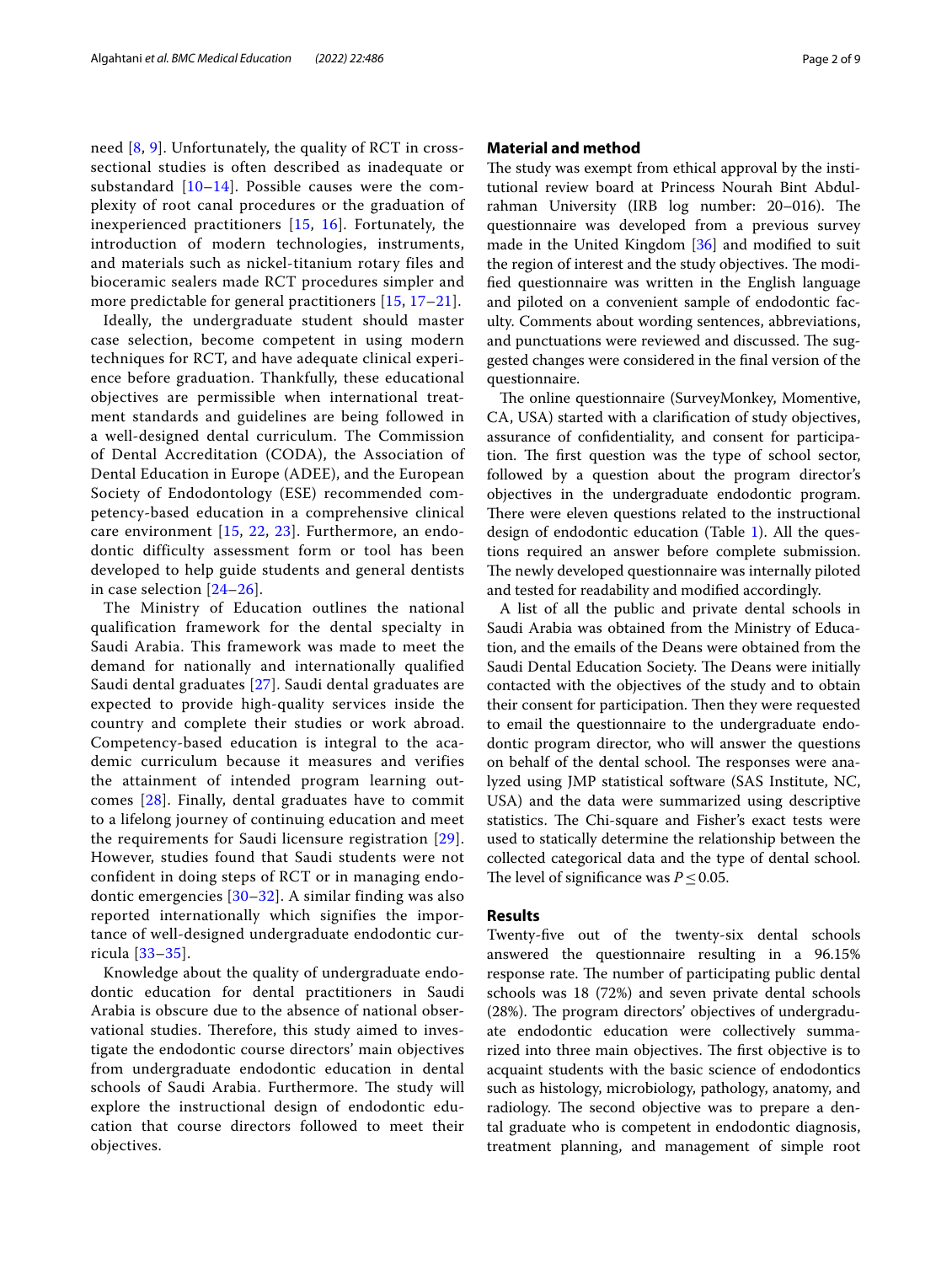need [\[8,](#page-7-6) [9\]](#page-7-7). Unfortunately, the quality of RCT in crosssectional studies is often described as inadequate or substandard  $[10-14]$  $[10-14]$  $[10-14]$ . Possible causes were the complexity of root canal procedures or the graduation of inexperienced practitioners [[15](#page-7-10), [16](#page-7-11)]. Fortunately, the introduction of modern technologies, instruments, and materials such as nickel-titanium rotary files and bioceramic sealers made RCT procedures simpler and more predictable for general practitioners [\[15,](#page-7-10) [17–](#page-7-12)[21](#page-7-13)].

Ideally, the undergraduate student should master case selection, become competent in using modern techniques for RCT, and have adequate clinical experience before graduation. Thankfully, these educational objectives are permissible when international treatment standards and guidelines are being followed in a well-designed dental curriculum. The Commission of Dental Accreditation (CODA), the Association of Dental Education in Europe (ADEE), and the European Society of Endodontology (ESE) recommended competency-based education in a comprehensive clinical care environment [[15,](#page-7-10) [22](#page-7-14), [23](#page-7-15)]. Furthermore, an endodontic difficulty assessment form or tool has been developed to help guide students and general dentists in case selection [\[24–](#page-7-16)[26\]](#page-7-17).

The Ministry of Education outlines the national qualification framework for the dental specialty in Saudi Arabia. This framework was made to meet the demand for nationally and internationally qualified Saudi dental graduates [\[27\]](#page-7-18). Saudi dental graduates are expected to provide high-quality services inside the country and complete their studies or work abroad. Competency-based education is integral to the academic curriculum because it measures and verifies the attainment of intended program learning outcomes [[28](#page-8-0)]. Finally, dental graduates have to commit to a lifelong journey of continuing education and meet the requirements for Saudi licensure registration [[29\]](#page-8-1). However, studies found that Saudi students were not confident in doing steps of RCT or in managing endodontic emergencies [\[30–](#page-8-2)[32](#page-8-3)]. A similar finding was also reported internationally which signifies the importance of well-designed undergraduate endodontic curricula [[33](#page-8-4)[–35\]](#page-8-5).

Knowledge about the quality of undergraduate endodontic education for dental practitioners in Saudi Arabia is obscure due to the absence of national observational studies. Therefore, this study aimed to investigate the endodontic course directors' main objectives from undergraduate endodontic education in dental schools of Saudi Arabia. Furthermore. The study will explore the instructional design of endodontic education that course directors followed to meet their objectives.

## **Material and method**

The study was exempt from ethical approval by the institutional review board at Princess Nourah Bint Abdulrahman University (IRB log number: 20–016). The questionnaire was developed from a previous survey made in the United Kingdom [[36\]](#page-8-6) and modifed to suit the region of interest and the study objectives. The modifed questionnaire was written in the English language and piloted on a convenient sample of endodontic faculty. Comments about wording sentences, abbreviations, and punctuations were reviewed and discussed. The suggested changes were considered in the fnal version of the questionnaire.

The online questionnaire (SurveyMonkey, Momentive, CA, USA) started with a clarifcation of study objectives, assurance of confdentiality, and consent for participation. The first question was the type of school sector, followed by a question about the program director's objectives in the undergraduate endodontic program. There were eleven questions related to the instructional design of endodontic education (Table [1\)](#page-2-0). All the questions required an answer before complete submission. The newly developed questionnaire was internally piloted and tested for readability and modifed accordingly.

A list of all the public and private dental schools in Saudi Arabia was obtained from the Ministry of Education, and the emails of the Deans were obtained from the Saudi Dental Education Society. The Deans were initially contacted with the objectives of the study and to obtain their consent for participation. Then they were requested to email the questionnaire to the undergraduate endodontic program director, who will answer the questions on behalf of the dental school. The responses were analyzed using JMP statistical software (SAS Institute, NC, USA) and the data were summarized using descriptive statistics. The Chi-square and Fisher's exact tests were used to statically determine the relationship between the collected categorical data and the type of dental school. The level of significance was  $P \leq 0.05$ .

# **Results**

Twenty-fve out of the twenty-six dental schools answered the questionnaire resulting in a 96.15% response rate. The number of participating public dental schools was 18 (72%) and seven private dental schools  $(28%)$ . The program directors' objectives of undergraduate endodontic education were collectively summarized into three main objectives. The first objective is to acquaint students with the basic science of endodontics such as histology, microbiology, pathology, anatomy, and radiology. The second objective was to prepare a dental graduate who is competent in endodontic diagnosis, treatment planning, and management of simple root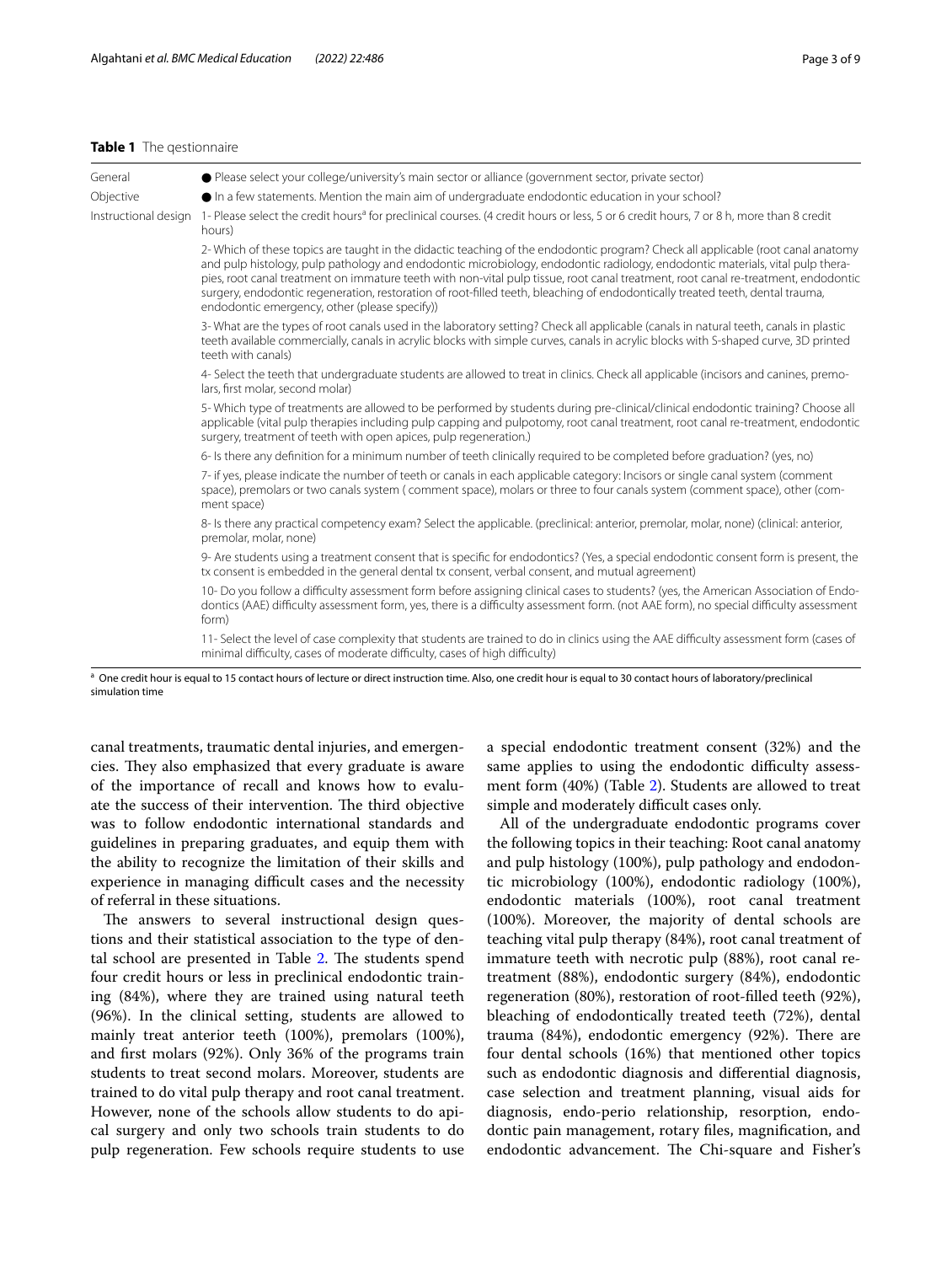#### <span id="page-2-0"></span>**Table 1** The qestionnaire

| General              | • Please select your college/university's main sector or alliance (government sector, private sector)                                                                                                                                                                                                                                                                                                                                                                                                                                                                                     |
|----------------------|-------------------------------------------------------------------------------------------------------------------------------------------------------------------------------------------------------------------------------------------------------------------------------------------------------------------------------------------------------------------------------------------------------------------------------------------------------------------------------------------------------------------------------------------------------------------------------------------|
| Objective            | • In a few statements. Mention the main aim of undergraduate endodontic education in your school?                                                                                                                                                                                                                                                                                                                                                                                                                                                                                         |
| Instructional design | 1- Please select the credit hours <sup>a</sup> for preclinical courses. (4 credit hours or less, 5 or 6 credit hours, 7 or 8 h, more than 8 credit<br>hours)                                                                                                                                                                                                                                                                                                                                                                                                                              |
|                      | 2- Which of these topics are taught in the didactic teaching of the endodontic program? Check all applicable (root canal anatomy<br>and pulp histology, pulp pathology and endodontic microbiology, endodontic radiology, endodontic materials, vital pulp thera-<br>pies, root canal treatment on immature teeth with non-vital pulp tissue, root canal treatment, root canal re-treatment, endodontic<br>surgery, endodontic regeneration, restoration of root-filled teeth, bleaching of endodontically treated teeth, dental trauma,<br>endodontic emergency, other (please specify)) |
|                      | 3- What are the types of root canals used in the laboratory setting? Check all applicable (canals in natural teeth, canals in plastic<br>teeth available commercially, canals in acrylic blocks with simple curves, canals in acrylic blocks with S-shaped curve, 3D printed<br>teeth with canals)                                                                                                                                                                                                                                                                                        |
|                      | 4- Select the teeth that undergraduate students are allowed to treat in clinics. Check all applicable (incisors and canines, premo-<br>lars, first molar, second molar)                                                                                                                                                                                                                                                                                                                                                                                                                   |
|                      | 5- Which type of treatments are allowed to be performed by students during pre-clinical/clinical endodontic training? Choose all<br>applicable (vital pulp therapies including pulp capping and pulpotomy, root canal treatment, root canal re-treatment, endodontic<br>surgery, treatment of teeth with open apices, pulp regeneration.)                                                                                                                                                                                                                                                 |
|                      | 6- Is there any definition for a minimum number of teeth clinically required to be completed before graduation? (yes, no)                                                                                                                                                                                                                                                                                                                                                                                                                                                                 |
|                      | 7- if yes, please indicate the number of teeth or canals in each applicable category: Incisors or single canal system (comment<br>space), premolars or two canals system (comment space), molars or three to four canals system (comment space), other (com-<br>ment space)                                                                                                                                                                                                                                                                                                               |
|                      | 8- Is there any practical competency exam? Select the applicable. (preclinical: anterior, premolar, molar, none) (clinical: anterior,<br>premolar, molar, none)                                                                                                                                                                                                                                                                                                                                                                                                                           |
|                      | 9- Are students using a treatment consent that is specific for endodontics? (Yes, a special endodontic consent form is present, the<br>tx consent is embedded in the general dental tx consent, verbal consent, and mutual agreement)                                                                                                                                                                                                                                                                                                                                                     |
|                      | 10- Do you follow a difficulty assessment form before assigning clinical cases to students? (yes, the American Association of Endo-<br>dontics (AAE) difficulty assessment form, yes, there is a difficulty assessment form. (not AAE form), no special difficulty assessment<br>form)                                                                                                                                                                                                                                                                                                    |
|                      | 11- Select the level of case complexity that students are trained to do in clinics using the AAE difficulty assessment form (cases of                                                                                                                                                                                                                                                                                                                                                                                                                                                     |

minimal difficulty, cases of moderate difficulty, cases of high difficulty)

<sup>a</sup> One credit hour is equal to 15 contact hours of lecture or direct instruction time. Also, one credit hour is equal to 30 contact hours of laboratory/preclinical simulation time

canal treatments, traumatic dental injuries, and emergencies. They also emphasized that every graduate is aware of the importance of recall and knows how to evaluate the success of their intervention. The third objective was to follow endodontic international standards and guidelines in preparing graduates, and equip them with the ability to recognize the limitation of their skills and experience in managing difficult cases and the necessity of referral in these situations.

The answers to several instructional design questions and their statistical association to the type of den-tal school are presented in Table [2](#page-3-0). The students spend four credit hours or less in preclinical endodontic training (84%), where they are trained using natural teeth (96%). In the clinical setting, students are allowed to mainly treat anterior teeth (100%), premolars (100%), and frst molars (92%). Only 36% of the programs train students to treat second molars. Moreover, students are trained to do vital pulp therapy and root canal treatment. However, none of the schools allow students to do apical surgery and only two schools train students to do pulp regeneration. Few schools require students to use a special endodontic treatment consent (32%) and the same applies to using the endodontic difficulty assessment form (40%) (Table [2](#page-3-0)). Students are allowed to treat simple and moderately difficult cases only.

All of the undergraduate endodontic programs cover the following topics in their teaching: Root canal anatomy and pulp histology (100%), pulp pathology and endodontic microbiology (100%), endodontic radiology (100%), endodontic materials (100%), root canal treatment (100%). Moreover, the majority of dental schools are teaching vital pulp therapy (84%), root canal treatment of immature teeth with necrotic pulp (88%), root canal retreatment (88%), endodontic surgery (84%), endodontic regeneration (80%), restoration of root-flled teeth (92%), bleaching of endodontically treated teeth (72%), dental trauma  $(84%)$ , endodontic emergency  $(92%)$ . There are four dental schools (16%) that mentioned other topics such as endodontic diagnosis and diferential diagnosis, case selection and treatment planning, visual aids for diagnosis, endo-perio relationship, resorption, endodontic pain management, rotary fles, magnifcation, and endodontic advancement. The Chi-square and Fisher's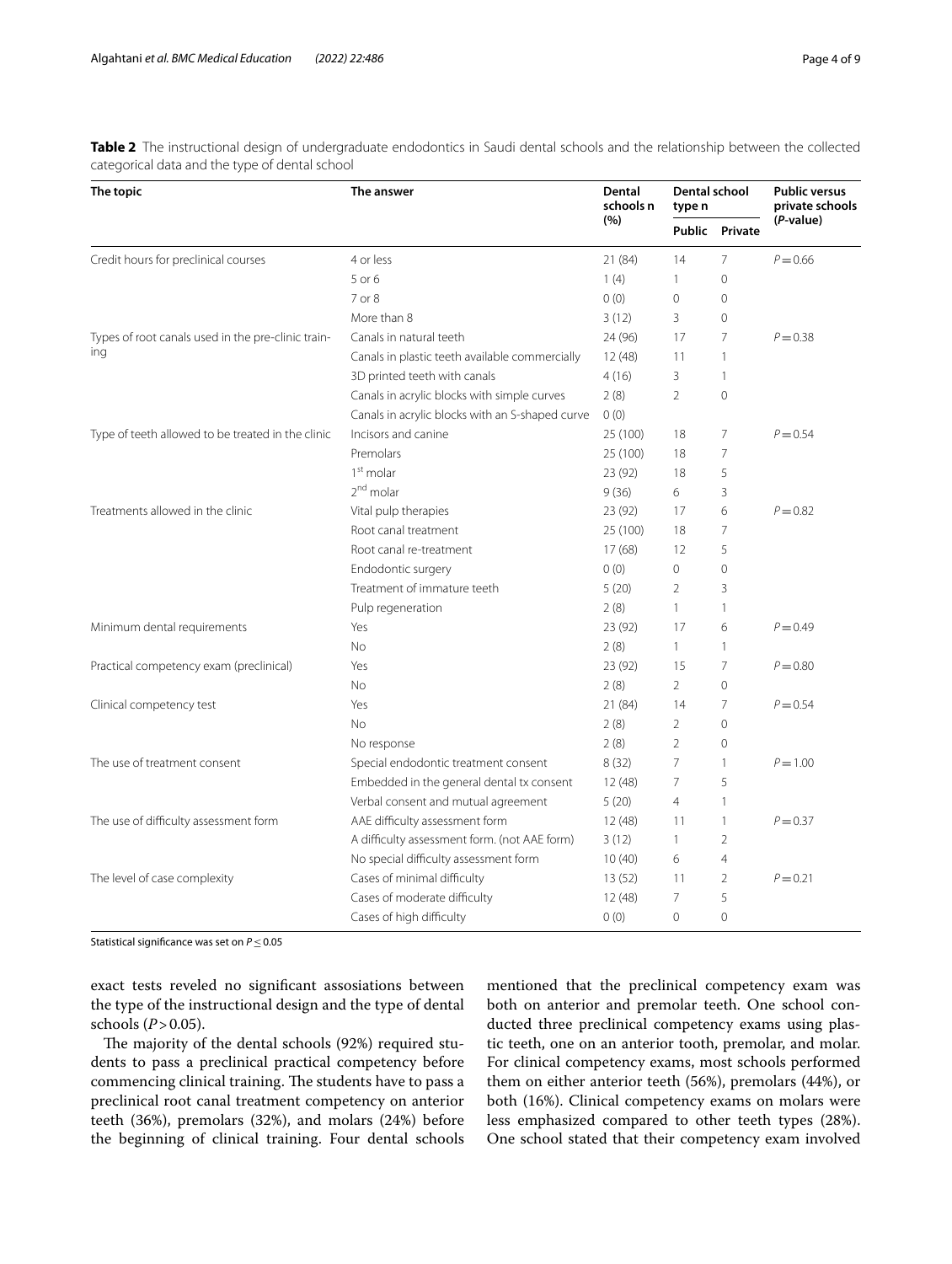| The topic                                          | The answer                                      | <b>Dental</b><br>schools n<br>(%) | Dental school<br>type n |                | <b>Public versus</b><br>private schools |
|----------------------------------------------------|-------------------------------------------------|-----------------------------------|-------------------------|----------------|-----------------------------------------|
|                                                    |                                                 |                                   |                         | Public Private | (P-value)                               |
| Credit hours for preclinical courses               | 4 or less                                       | 21 (84)                           | 14                      | $\overline{7}$ | $P = 0.66$                              |
|                                                    | 5 or 6                                          | 1(4)                              | $\mathbf{1}$            | $\Omega$       |                                         |
|                                                    | 7 or 8                                          | 0(0)                              | $\circ$                 | $\mathbf 0$    |                                         |
|                                                    | More than 8                                     | 3(12)                             | 3                       | $\overline{0}$ |                                         |
| Types of root canals used in the pre-clinic train- | Canals in natural teeth                         | 24 (96)                           | 17                      | $\overline{7}$ | $P = 0.38$                              |
| ing                                                | Canals in plastic teeth available commercially  | 12(48)                            | 11                      | $\mathbf{1}$   |                                         |
|                                                    | 3D printed teeth with canals                    | 4(16)                             | 3                       | $\mathbf{1}$   |                                         |
|                                                    | Canals in acrylic blocks with simple curves     | 2(8)                              | $\overline{2}$          | $\overline{0}$ |                                         |
|                                                    | Canals in acrylic blocks with an S-shaped curve | 0(0)                              |                         |                |                                         |
| Type of teeth allowed to be treated in the clinic  | Incisors and canine                             | 25 (100)                          | 18                      | 7              | $P = 0.54$                              |
|                                                    | Premolars                                       | 25 (100)                          | 18                      | $\overline{7}$ |                                         |
|                                                    | $1st$ molar                                     | 23 (92)                           | 18                      | 5              |                                         |
|                                                    | 2 <sup>nd</sup> molar                           | 9(36)                             | 6                       | 3              |                                         |
| Treatments allowed in the clinic                   | Vital pulp therapies                            | 23 (92)                           | 17                      | 6              | $P = 0.82$                              |
|                                                    | Root canal treatment                            | 25 (100)                          | 18                      | $\overline{7}$ |                                         |
|                                                    | Root canal re-treatment                         | 17(68)                            | 12                      | 5              |                                         |
|                                                    | Endodontic surgery                              | 0(0)                              | $\circ$                 | $\mathbf 0$    |                                         |
|                                                    | Treatment of immature teeth                     | 5(20)                             | $\overline{2}$          | 3              |                                         |
|                                                    | Pulp regeneration                               | 2(8)                              | $\mathbf{1}$            | $\mathbf{1}$   |                                         |
| Minimum dental requirements                        | Yes                                             | 23 (92)                           | 17                      | 6              | $P = 0.49$                              |
|                                                    | <b>No</b>                                       | 2(8)                              | $\mathbf{1}$            | $\mathbf{1}$   |                                         |
| Practical competency exam (preclinical)            | Yes                                             | 23 (92)                           | 15                      | 7              | $P = 0.80$                              |
|                                                    | No                                              | 2(8)                              | $\overline{2}$          | $\overline{0}$ |                                         |
| Clinical competency test                           | Yes                                             | 21 (84)                           | 14                      | $\overline{7}$ | $P = 0.54$                              |
|                                                    | <b>No</b>                                       | 2(8)                              | $\overline{2}$          | $\Omega$       |                                         |
|                                                    | No response                                     | 2(8)                              | $\overline{2}$          | $\mathbf 0$    |                                         |
| The use of treatment consent                       | Special endodontic treatment consent            | 8(32)                             | $\overline{7}$          | $\mathbf{1}$   | $P = 1.00$                              |
|                                                    | Embedded in the general dental tx consent       | 12(48)                            | $\overline{7}$          | 5              |                                         |
|                                                    | Verbal consent and mutual agreement             | 5(20)                             | $\overline{4}$          | $\mathbf{1}$   |                                         |
| The use of difficulty assessment form              | AAE difficulty assessment form                  | 12(48)                            | 11                      | $\mathbf{1}$   | $P = 0.37$                              |
|                                                    | A difficulty assessment form. (not AAE form)    | 3(12)                             | $\mathbf{1}$            | $\overline{2}$ |                                         |
|                                                    | No special difficulty assessment form           | 10(40)                            | 6                       | $\overline{4}$ |                                         |
| The level of case complexity                       | Cases of minimal difficulty                     | 13(52)                            | 11                      | $\overline{2}$ | $P = 0.21$                              |
|                                                    | Cases of moderate difficulty                    | 12(48)                            | 7                       | 5              |                                         |
|                                                    | Cases of high difficulty                        | 0(0)                              | $\Omega$                | $\overline{0}$ |                                         |

<span id="page-3-0"></span>**Table 2** The instructional design of undergraduate endodontics in Saudi dental schools and the relationship between the collected categorical data and the type of dental school

Statistical signifcance was set on *P*≤0.05

exact tests reveled no signifcant assosiations between the type of the instructional design and the type of dental schools  $(P>0.05)$ .

The majority of the dental schools (92%) required students to pass a preclinical practical competency before commencing clinical training. The students have to pass a preclinical root canal treatment competency on anterior teeth (36%), premolars (32%), and molars (24%) before the beginning of clinical training. Four dental schools mentioned that the preclinical competency exam was both on anterior and premolar teeth. One school conducted three preclinical competency exams using plastic teeth, one on an anterior tooth, premolar, and molar. For clinical competency exams, most schools performed them on either anterior teeth (56%), premolars (44%), or both (16%). Clinical competency exams on molars were less emphasized compared to other teeth types (28%). One school stated that their competency exam involved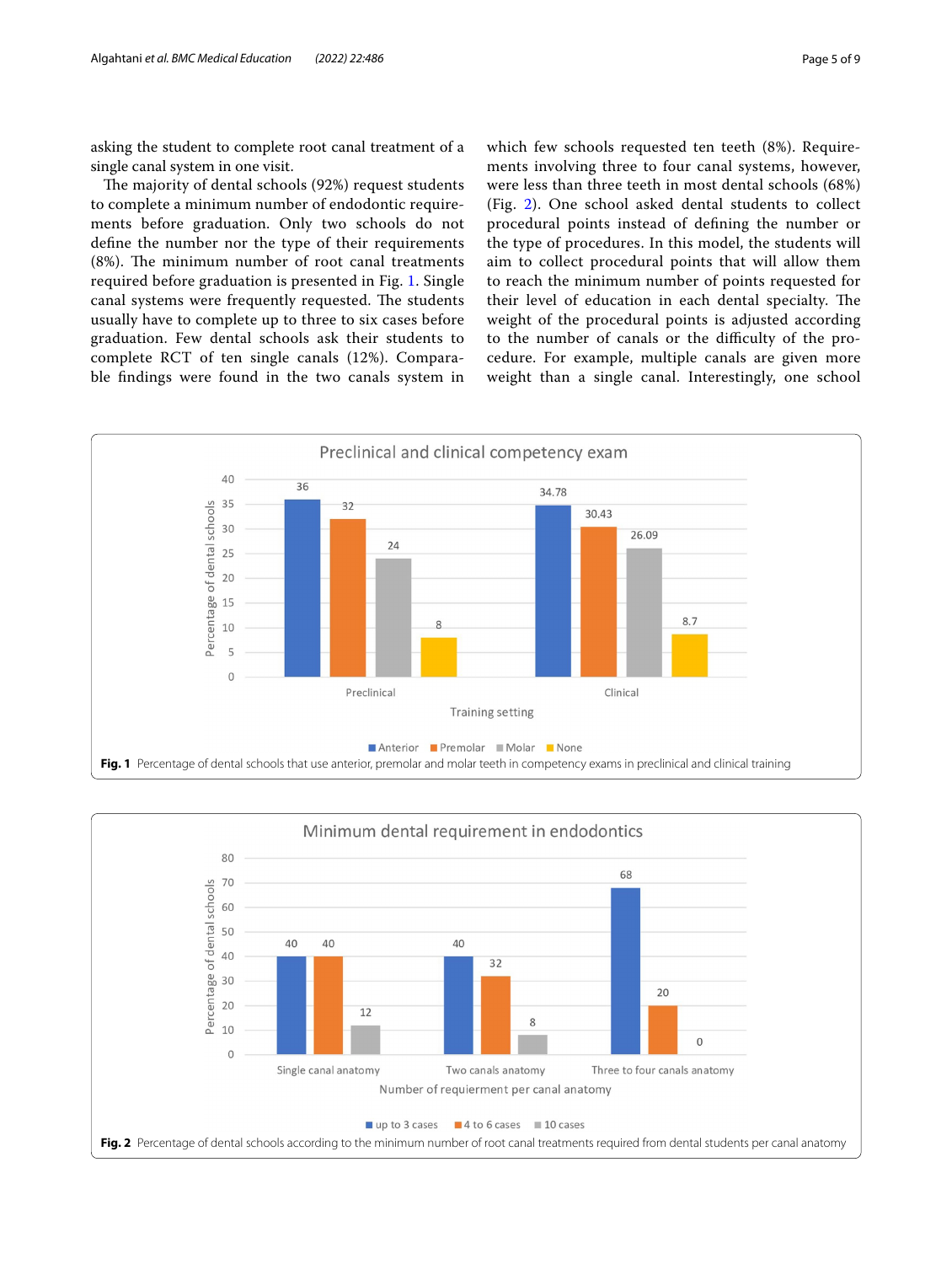asking the student to complete root canal treatment of a single canal system in one visit.

The majority of dental schools (92%) request students to complete a minimum number of endodontic requirements before graduation. Only two schools do not defne the number nor the type of their requirements (8%). The minimum number of root canal treatments required before graduation is presented in Fig. [1](#page-4-0). Single canal systems were frequently requested. The students usually have to complete up to three to six cases before graduation. Few dental schools ask their students to complete RCT of ten single canals (12%). Comparable fndings were found in the two canals system in which few schools requested ten teeth (8%). Requirements involving three to four canal systems, however, were less than three teeth in most dental schools (68%) (Fig. [2](#page-4-1)). One school asked dental students to collect procedural points instead of defning the number or the type of procedures. In this model, the students will aim to collect procedural points that will allow them to reach the minimum number of points requested for their level of education in each dental specialty. The weight of the procedural points is adjusted according to the number of canals or the difficulty of the procedure. For example, multiple canals are given more weight than a single canal. Interestingly, one school



<span id="page-4-1"></span><span id="page-4-0"></span>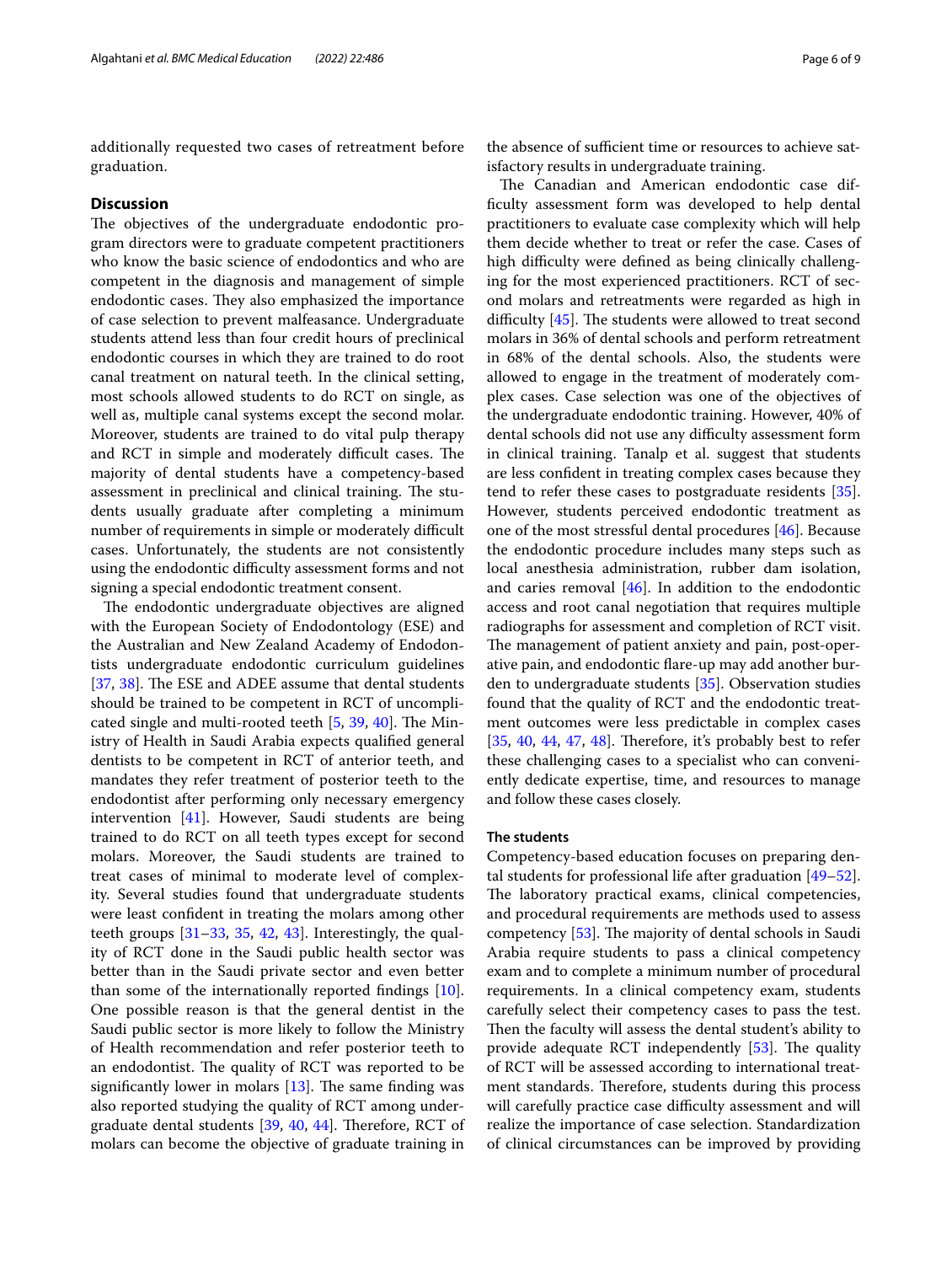additionally requested two cases of retreatment before graduation.

#### **Discussion**

The objectives of the undergraduate endodontic program directors were to graduate competent practitioners who know the basic science of endodontics and who are competent in the diagnosis and management of simple endodontic cases. They also emphasized the importance of case selection to prevent malfeasance. Undergraduate students attend less than four credit hours of preclinical endodontic courses in which they are trained to do root canal treatment on natural teeth. In the clinical setting, most schools allowed students to do RCT on single, as well as, multiple canal systems except the second molar. Moreover, students are trained to do vital pulp therapy and RCT in simple and moderately difficult cases. The majority of dental students have a competency-based assessment in preclinical and clinical training. The students usually graduate after completing a minimum number of requirements in simple or moderately difficult cases. Unfortunately, the students are not consistently using the endodontic difficulty assessment forms and not signing a special endodontic treatment consent.

The endodontic undergraduate objectives are aligned with the European Society of Endodontology (ESE) and the Australian and New Zealand Academy of Endodontists undergraduate endodontic curriculum guidelines [[37,](#page-8-7) [38\]](#page-8-8). The ESE and ADEE assume that dental students should be trained to be competent in RCT of uncomplicated single and multi-rooted teeth  $[5, 39, 40]$  $[5, 39, 40]$  $[5, 39, 40]$  $[5, 39, 40]$  $[5, 39, 40]$  $[5, 39, 40]$ . The Ministry of Health in Saudi Arabia expects qualifed general dentists to be competent in RCT of anterior teeth, and mandates they refer treatment of posterior teeth to the endodontist after performing only necessary emergency intervention [\[41\]](#page-8-11). However, Saudi students are being trained to do RCT on all teeth types except for second molars. Moreover, the Saudi students are trained to treat cases of minimal to moderate level of complexity. Several studies found that undergraduate students were least confdent in treating the molars among other teeth groups [[31](#page-8-12)[–33](#page-8-4), [35,](#page-8-5) [42](#page-8-13), [43\]](#page-8-14). Interestingly, the quality of RCT done in the Saudi public health sector was better than in the Saudi private sector and even better than some of the internationally reported fndings [\[10](#page-7-8)]. One possible reason is that the general dentist in the Saudi public sector is more likely to follow the Ministry of Health recommendation and refer posterior teeth to an endodontist. The quality of RCT was reported to be significantly lower in molars  $[13]$  $[13]$ . The same finding was also reported studying the quality of RCT among undergraduate dental students  $[39, 40, 44]$  $[39, 40, 44]$  $[39, 40, 44]$  $[39, 40, 44]$  $[39, 40, 44]$ . Therefore, RCT of molars can become the objective of graduate training in

the absence of sufficient time or resources to achieve satisfactory results in undergraduate training.

The Canadian and American endodontic case diffculty assessment form was developed to help dental practitioners to evaluate case complexity which will help them decide whether to treat or refer the case. Cases of high difficulty were defined as being clinically challenging for the most experienced practitioners. RCT of second molars and retreatments were regarded as high in difficulty  $[45]$  $[45]$ . The students were allowed to treat second molars in 36% of dental schools and perform retreatment in 68% of the dental schools. Also, the students were allowed to engage in the treatment of moderately complex cases. Case selection was one of the objectives of the undergraduate endodontic training. However, 40% of dental schools did not use any difficulty assessment form in clinical training. Tanalp et al. suggest that students are less confdent in treating complex cases because they tend to refer these cases to postgraduate residents [\[35](#page-8-5)]. However, students perceived endodontic treatment as one of the most stressful dental procedures [[46](#page-8-17)]. Because the endodontic procedure includes many steps such as local anesthesia administration, rubber dam isolation, and caries removal  $[46]$  $[46]$ . In addition to the endodontic access and root canal negotiation that requires multiple radiographs for assessment and completion of RCT visit. The management of patient anxiety and pain, post-operative pain, and endodontic fare-up may add another burden to undergraduate students [[35\]](#page-8-5). Observation studies found that the quality of RCT and the endodontic treatment outcomes were less predictable in complex cases  $[35, 40, 44, 47, 48]$  $[35, 40, 44, 47, 48]$  $[35, 40, 44, 47, 48]$  $[35, 40, 44, 47, 48]$  $[35, 40, 44, 47, 48]$  $[35, 40, 44, 47, 48]$  $[35, 40, 44, 47, 48]$  $[35, 40, 44, 47, 48]$  $[35, 40, 44, 47, 48]$  $[35, 40, 44, 47, 48]$ . Therefore, it's probably best to refer these challenging cases to a specialist who can conveniently dedicate expertise, time, and resources to manage and follow these cases closely.

### **The students**

Competency-based education focuses on preparing dental students for professional life after graduation [[49](#page-8-20)[–52](#page-8-21)]. The laboratory practical exams, clinical competencies, and procedural requirements are methods used to assess competency  $[53]$  $[53]$ . The majority of dental schools in Saudi Arabia require students to pass a clinical competency exam and to complete a minimum number of procedural requirements. In a clinical competency exam, students carefully select their competency cases to pass the test. Then the faculty will assess the dental student's ability to provide adequate RCT independently  $[53]$  $[53]$ . The quality of RCT will be assessed according to international treatment standards. Therefore, students during this process will carefully practice case difficulty assessment and will realize the importance of case selection. Standardization of clinical circumstances can be improved by providing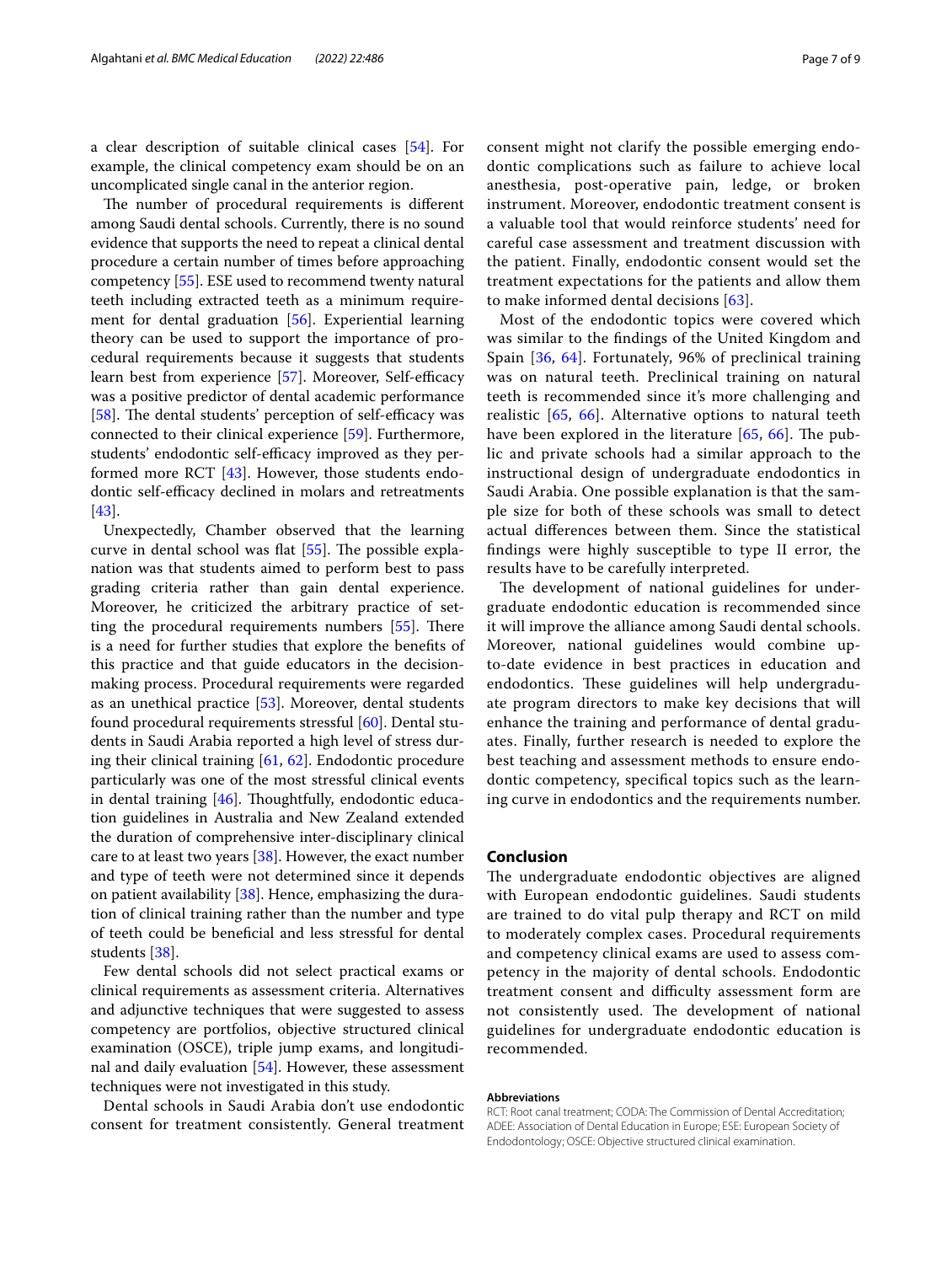a clear description of suitable clinical cases [\[54](#page-8-23)]. For example, the clinical competency exam should be on an uncomplicated single canal in the anterior region.

The number of procedural requirements is different among Saudi dental schools. Currently, there is no sound evidence that supports the need to repeat a clinical dental procedure a certain number of times before approaching competency [[55\]](#page-8-24). ESE used to recommend twenty natural teeth including extracted teeth as a minimum requirement for dental graduation [\[56](#page-8-25)]. Experiential learning theory can be used to support the importance of procedural requirements because it suggests that students learn best from experience [[57](#page-8-26)]. Moreover, Self-efficacy was a positive predictor of dental academic performance [[58\]](#page-8-27). The dental students' perception of self-efficacy was connected to their clinical experience [[59\]](#page-8-28). Furthermore, students' endodontic self-efficacy improved as they performed more RCT [[43\]](#page-8-14). However, those students endodontic self-efficacy declined in molars and retreatments [[43\]](#page-8-14).

Unexpectedly, Chamber observed that the learning curve in dental school was flat  $[55]$  $[55]$ . The possible explanation was that students aimed to perform best to pass grading criteria rather than gain dental experience. Moreover, he criticized the arbitrary practice of setting the procedural requirements numbers  $[55]$  $[55]$ . There is a need for further studies that explore the benefts of this practice and that guide educators in the decisionmaking process. Procedural requirements were regarded as an unethical practice [[53\]](#page-8-22). Moreover, dental students found procedural requirements stressful [\[60\]](#page-8-29). Dental students in Saudi Arabia reported a high level of stress during their clinical training [\[61,](#page-8-30) [62\]](#page-8-31). Endodontic procedure particularly was one of the most stressful clinical events in dental training  $[46]$ . Thoughtfully, endodontic education guidelines in Australia and New Zealand extended the duration of comprehensive inter-disciplinary clinical care to at least two years [\[38](#page-8-8)]. However, the exact number and type of teeth were not determined since it depends on patient availability [\[38\]](#page-8-8). Hence, emphasizing the duration of clinical training rather than the number and type of teeth could be benefcial and less stressful for dental students [[38\]](#page-8-8).

Few dental schools did not select practical exams or clinical requirements as assessment criteria. Alternatives and adjunctive techniques that were suggested to assess competency are portfolios, objective structured clinical examination (OSCE), triple jump exams, and longitudinal and daily evaluation [\[54\]](#page-8-23). However, these assessment techniques were not investigated in this study.

Dental schools in Saudi Arabia don't use endodontic consent for treatment consistently. General treatment consent might not clarify the possible emerging endodontic complications such as failure to achieve local anesthesia, post-operative pain, ledge, or broken instrument. Moreover, endodontic treatment consent is a valuable tool that would reinforce students' need for careful case assessment and treatment discussion with the patient. Finally, endodontic consent would set the treatment expectations for the patients and allow them to make informed dental decisions [[63](#page-8-32)].

Most of the endodontic topics were covered which was similar to the fndings of the United Kingdom and Spain [\[36](#page-8-6), [64](#page-8-33)]. Fortunately, 96% of preclinical training was on natural teeth. Preclinical training on natural teeth is recommended since it's more challenging and realistic [[65,](#page-8-34) [66](#page-8-35)]. Alternative options to natural teeth have been explored in the literature  $[65, 66]$  $[65, 66]$  $[65, 66]$  $[65, 66]$ . The public and private schools had a similar approach to the instructional design of undergraduate endodontics in Saudi Arabia. One possible explanation is that the sample size for both of these schools was small to detect actual diferences between them. Since the statistical fndings were highly susceptible to type II error, the results have to be carefully interpreted.

The development of national guidelines for undergraduate endodontic education is recommended since it will improve the alliance among Saudi dental schools. Moreover, national guidelines would combine upto-date evidence in best practices in education and endodontics. These guidelines will help undergraduate program directors to make key decisions that will enhance the training and performance of dental graduates. Finally, further research is needed to explore the best teaching and assessment methods to ensure endodontic competency, specifcal topics such as the learning curve in endodontics and the requirements number.

# **Conclusion**

The undergraduate endodontic objectives are aligned with European endodontic guidelines. Saudi students are trained to do vital pulp therapy and RCT on mild to moderately complex cases. Procedural requirements and competency clinical exams are used to assess competency in the majority of dental schools. Endodontic treatment consent and difficulty assessment form are not consistently used. The development of national guidelines for undergraduate endodontic education is recommended.

#### **Abbreviations**

RCT: Root canal treatment; CODA: The Commission of Dental Accreditation; ADEE: Association of Dental Education in Europe; ESE: European Society of Endodontology; OSCE: Objective structured clinical examination.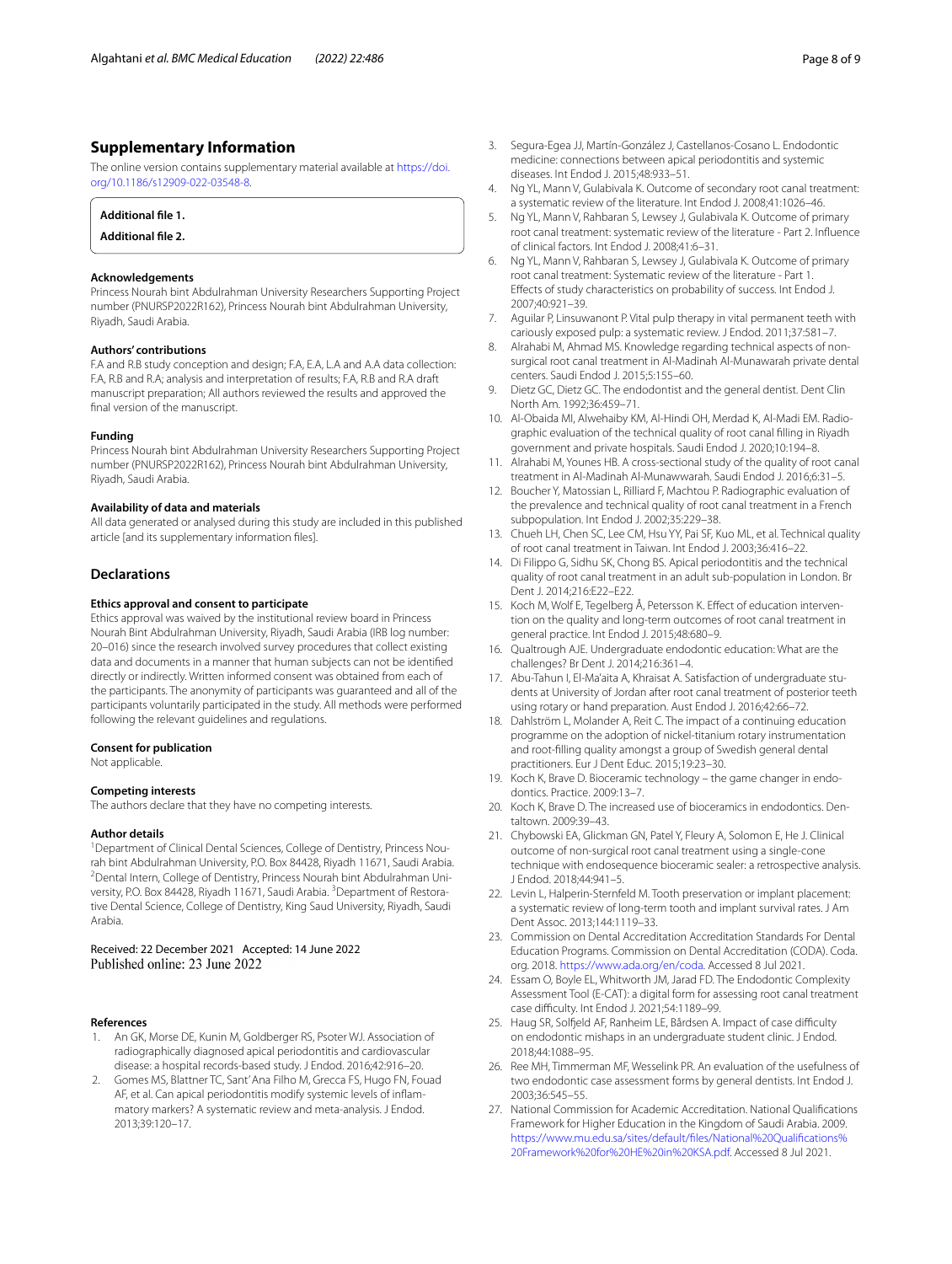# **Supplementary Information**

The online version contains supplementary material available at [https://doi.](https://doi.org/10.1186/s12909-022-03548-8) [org/10.1186/s12909-022-03548-8](https://doi.org/10.1186/s12909-022-03548-8).

## **Additional fle 1.**

**Additional fle 2.** 

#### **Acknowledgements**

Princess Nourah bint Abdulrahman University Researchers Supporting Project number (PNURSP2022R162), Princess Nourah bint Abdulrahman University, Riyadh, Saudi Arabia.

#### **Authors' contributions**

F.A and R.B study conception and design; F.A, E.A, L.A and A.A data collection: F.A, R.B and R.A; analysis and interpretation of results; F.A, R.B and R.A draft manuscript preparation; All authors reviewed the results and approved the fnal version of the manuscript.

#### **Funding**

Princess Nourah bint Abdulrahman University Researchers Supporting Project number (PNURSP2022R162), Princess Nourah bint Abdulrahman University, Riyadh, Saudi Arabia.

#### **Availability of data and materials**

All data generated or analysed during this study are included in this published article [and its supplementary information fles].

# **Declarations**

#### **Ethics approval and consent to participate**

Ethics approval was waived by the institutional review board in Princess Nourah Bint Abdulrahman University, Riyadh, Saudi Arabia (IRB log number: 20–016) since the research involved survey procedures that collect existing data and documents in a manner that human subjects can not be identifed directly or indirectly. Written informed consent was obtained from each of the participants. The anonymity of participants was guaranteed and all of the participants voluntarily participated in the study. All methods were performed following the relevant guidelines and regulations.

#### **Consent for publication**

Not applicable.

#### **Competing interests**

The authors declare that they have no competing interests.

#### **Author details**

<sup>1</sup> Department of Clinical Dental Sciences, College of Dentistry, Princess Nourah bint Abdulrahman University, P.O. Box 84428, Riyadh 11671, Saudi Arabia. 2 <sup>2</sup> Dental Intern, College of Dentistry, Princess Nourah bint Abdulrahman University, P.O. Box 84428, Riyadh 11671, Saudi Arabia. <sup>3</sup> Department of Restorative Dental Science, College of Dentistry, King Saud University, Riyadh, Saudi Arabia.

Received: 22 December 2021 Accepted: 14 June 2022 Published online: 23 June 2022

#### **References**

- <span id="page-7-0"></span>1. An GK, Morse DE, Kunin M, Goldberger RS, Psoter WJ. Association of radiographically diagnosed apical periodontitis and cardiovascular disease: a hospital records-based study. J Endod. 2016;42:916–20.
- 2. Gomes MS, Blattner TC, Sant' Ana Filho M, Grecca FS, Hugo FN, Fouad AF, et al. Can apical periodontitis modify systemic levels of infammatory markers? A systematic review and meta-analysis. J Endod. 2013;39:120–17.
- <span id="page-7-1"></span>3. Segura-Egea JJ, Martín-González J, Castellanos-Cosano L. Endodontic medicine: connections between apical periodontitis and systemic diseases. Int Endod J. 2015;48:933–51.
- <span id="page-7-2"></span>4. Ng YL, Mann V, Gulabivala K. Outcome of secondary root canal treatment: a systematic review of the literature. Int Endod J. 2008;41:1026–46.
- <span id="page-7-4"></span>5. Ng YL, Mann V, Rahbaran S, Lewsey J, Gulabivala K. Outcome of primary root canal treatment: systematic review of the literature - Part 2. Infuence of clinical factors. Int Endod J. 2008;41:6–31.
- <span id="page-7-3"></span>6. Ng YL, Mann V, Rahbaran S, Lewsey J, Gulabivala K. Outcome of primary root canal treatment: Systematic review of the literature - Part 1. Efects of study characteristics on probability of success. Int Endod J. 2007;40:921–39.
- <span id="page-7-5"></span>7. Aguilar P, Linsuwanont P. Vital pulp therapy in vital permanent teeth with cariously exposed pulp: a systematic review. J Endod. 2011;37:581–7.
- <span id="page-7-6"></span>8. Alrahabi M, Ahmad MS. Knowledge regarding technical aspects of nonsurgical root canal treatment in Al-Madinah Al-Munawarah private dental centers. Saudi Endod J. 2015;5:155–60.
- <span id="page-7-7"></span>9. Dietz GC, Dietz GC. The endodontist and the general dentist. Dent Clin North Am. 1992;36:459–71.
- <span id="page-7-8"></span>10. Al-Obaida MI, Alwehaiby KM, Al-Hindi OH, Merdad K, Al-Madi EM. Radiographic evaluation of the technical quality of root canal flling in Riyadh government and private hospitals. Saudi Endod J. 2020;10:194–8.
- 11. Alrahabi M, Younes HB. A cross-sectional study of the quality of root canal treatment in Al-Madinah Al-Munawwarah. Saudi Endod J. 2016;6:31–5.
- 12. Boucher Y, Matossian L, Rilliard F, Machtou P. Radiographic evaluation of the prevalence and technical quality of root canal treatment in a French subpopulation. Int Endod J. 2002;35:229–38.
- <span id="page-7-19"></span>13. Chueh LH, Chen SC, Lee CM, Hsu YY, Pai SF, Kuo ML, et al. Technical quality of root canal treatment in Taiwan. Int Endod J. 2003;36:416–22.
- <span id="page-7-9"></span>14. Di Filippo G, Sidhu SK, Chong BS. Apical periodontitis and the technical quality of root canal treatment in an adult sub-population in London. Br Dent J. 2014;216:E22–E22.
- <span id="page-7-10"></span>15. Koch M, Wolf E, Tegelberg Å, Petersson K. Efect of education intervention on the quality and long-term outcomes of root canal treatment in general practice. Int Endod J. 2015;48:680–9.
- <span id="page-7-11"></span>16. Qualtrough AJE. Undergraduate endodontic education: What are the challenges? Br Dent J. 2014;216:361–4.
- <span id="page-7-12"></span>17. Abu-Tahun I, El-Ma'aita A, Khraisat A. Satisfaction of undergraduate students at University of Jordan after root canal treatment of posterior teeth using rotary or hand preparation. Aust Endod J. 2016;42:66–72.
- 18. Dahlström L, Molander A, Reit C. The impact of a continuing education programme on the adoption of nickel-titanium rotary instrumentation and root-flling quality amongst a group of Swedish general dental practitioners. Eur J Dent Educ. 2015;19:23–30.
- 19. Koch K, Brave D. Bioceramic technology the game changer in endodontics. Practice. 2009:13–7.
- 20. Koch K, Brave D. The increased use of bioceramics in endodontics. Dentaltown. 2009:39–43.
- <span id="page-7-13"></span>21. Chybowski EA, Glickman GN, Patel Y, Fleury A, Solomon E, He J. Clinical outcome of non-surgical root canal treatment using a single-cone technique with endosequence bioceramic sealer: a retrospective analysis. J Endod. 2018;44:941–5.
- <span id="page-7-14"></span>22. Levin L, Halperin-Sternfeld M. Tooth preservation or implant placement: a systematic review of long-term tooth and implant survival rates. J Am Dent Assoc. 2013;144:1119–33.
- <span id="page-7-15"></span>23. Commission on Dental Accreditation Accreditation Standards For Dental Education Programs. Commission on Dental Accreditation (CODA). Coda. org. 2018.<https://www.ada.org/en/coda>. Accessed 8 Jul 2021.
- <span id="page-7-16"></span>24. Essam O, Boyle EL, Whitworth JM, Jarad FD. The Endodontic Complexity Assessment Tool (E-CAT): a digital form for assessing root canal treatment case difculty. Int Endod J. 2021;54:1189–99.
- 25. Haug SR, Solfield AF, Ranheim LE, Bårdsen A. Impact of case difficulty on endodontic mishaps in an undergraduate student clinic. J Endod. 2018;44:1088–95.
- <span id="page-7-17"></span>26. Ree MH, Timmerman MF, Wesselink PR. An evaluation of the usefulness of two endodontic case assessment forms by general dentists. Int Endod J. 2003;36:545–55.
- <span id="page-7-18"></span>27. National Commission for Academic Accreditation. National Qualifcations Framework for Higher Education in the Kingdom of Saudi Arabia. 2009. [https://www.mu.edu.sa/sites/default/fles/National%20Qualifcations%](https://www.mu.edu.sa/sites/default/files/National%20Qualifications%20Framework%20for%20HE%20in%20KSA.pdf) [20Framework%20for%20HE%20in%20KSA.pdf.](https://www.mu.edu.sa/sites/default/files/National%20Qualifications%20Framework%20for%20HE%20in%20KSA.pdf) Accessed 8 Jul 2021.